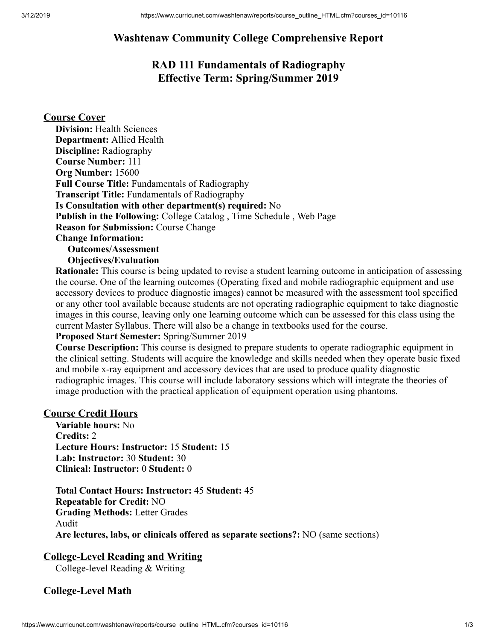# **Washtenaw Community College Comprehensive Report**

# **RAD 111 Fundamentals of Radiography Effective Term: Spring/Summer 2019**

## **Course Cover**

| <b>Division: Health Sciences</b>                                          |
|---------------------------------------------------------------------------|
| <b>Department:</b> Allied Health                                          |
| <b>Discipline:</b> Radiography                                            |
| <b>Course Number: 111</b>                                                 |
| Org Number: 15600                                                         |
| <b>Full Course Title: Fundamentals of Radiography</b>                     |
| <b>Transcript Title:</b> Fundamentals of Radiography                      |
| Is Consultation with other department(s) required: No                     |
| <b>Publish in the Following: College Catalog, Time Schedule, Web Page</b> |
| <b>Reason for Submission: Course Change</b>                               |
| <b>Change Information:</b>                                                |
| <b>Outcomes/Assessment</b>                                                |
|                                                                           |

**Objectives/Evaluation**

**Rationale:** This course is being updated to revise a student learning outcome in anticipation of assessing the course. One of the learning outcomes (Operating fixed and mobile radiographic equipment and use accessory devices to produce diagnostic images) cannot be measured with the assessment tool specified or any other tool available because students are not operating radiographic equipment to take diagnostic images in this course, leaving only one learning outcome which can be assessed for this class using the current Master Syllabus. There will also be a change in textbooks used for the course.

#### **Proposed Start Semester:** Spring/Summer 2019

**Course Description:** This course is designed to prepare students to operate radiographic equipment in the clinical setting. Students will acquire the knowledge and skills needed when they operate basic fixed and mobile x-ray equipment and accessory devices that are used to produce quality diagnostic radiographic images. This course will include laboratory sessions which will integrate the theories of image production with the practical application of equipment operation using phantoms.

### **Course Credit Hours**

**Variable hours:** No **Credits:** 2 **Lecture Hours: Instructor:** 15 **Student:** 15 **Lab: Instructor:** 30 **Student:** 30 **Clinical: Instructor:** 0 **Student:** 0

**Total Contact Hours: Instructor:** 45 **Student:** 45 **Repeatable for Credit:** NO **Grading Methods:** Letter Grades Audit **Are lectures, labs, or clinicals offered as separate sections?:** NO (same sections)

## **College-Level Reading and Writing**

College-level Reading & Writing

## **College-Level Math**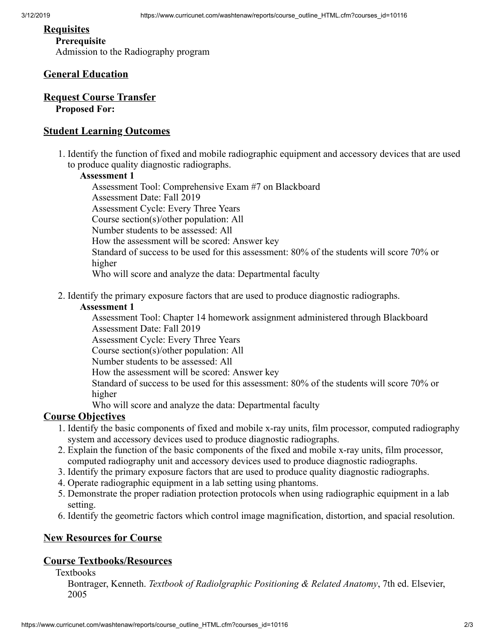#### **Requisites**

### **Prerequisite**

Admission to the Radiography program

## **General Education**

#### **Request Course Transfer Proposed For:**

### **Student Learning Outcomes**

1. Identify the function of fixed and mobile radiographic equipment and accessory devices that are used to produce quality diagnostic radiographs.

#### **Assessment 1**

Assessment Tool: Comprehensive Exam #7 on Blackboard Assessment Date: Fall 2019 Assessment Cycle: Every Three Years Course section(s)/other population: All Number students to be assessed: All How the assessment will be scored: Answer key Standard of success to be used for this assessment: 80% of the students will score 70% or higher Who will score and analyze the data: Departmental faculty

2. Identify the primary exposure factors that are used to produce diagnostic radiographs.

#### **Assessment 1**

Assessment Tool: Chapter 14 homework assignment administered through Blackboard Assessment Date: Fall 2019

Assessment Cycle: Every Three Years

Course section(s)/other population: All

Number students to be assessed: All

How the assessment will be scored: Answer key

Standard of success to be used for this assessment: 80% of the students will score 70% or higher

Who will score and analyze the data: Departmental faculty

## **Course Objectives**

- 1. Identify the basic components of fixed and mobile x-ray units, film processor, computed radiography system and accessory devices used to produce diagnostic radiographs.
- 2. Explain the function of the basic components of the fixed and mobile x-ray units, film processor, computed radiography unit and accessory devices used to produce diagnostic radiographs.
- 3. Identify the primary exposure factors that are used to produce quality diagnostic radiographs.
- 4. Operate radiographic equipment in a lab setting using phantoms.
- 5. Demonstrate the proper radiation protection protocols when using radiographic equipment in a lab setting.
- 6. Identify the geometric factors which control image magnification, distortion, and spacial resolution.

## **New Resources for Course**

## **Course Textbooks/Resources**

**Textbooks** 

Bontrager, Kenneth. *Textbook of Radiolgraphic Positioning & Related Anatomy*, 7th ed. Elsevier, 2005